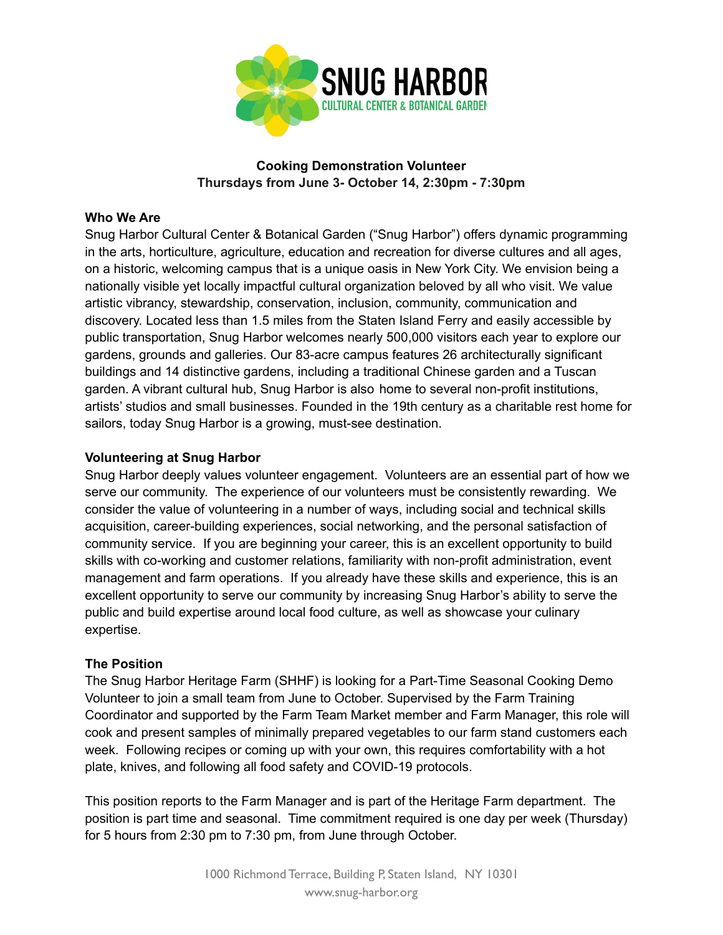

# **Cooking Demonstration Volunteer Thursdays from June 3- October 14, 2:30pm - 7:30pm**

## **Who We Are**

Snug Harbor Cultural Center & Botanical Garden ("Snug Harbor") offers dynamic programming in the arts, horticulture, agriculture, education and recreation for diverse cultures and all ages, on a historic, welcoming campus that is a unique oasis in New York City. We envision being a nationally visible yet locally impactful cultural organization beloved by all who visit. We value artistic vibrancy, stewardship, conservation, inclusion, community, communication and discovery. Located less than 1.5 miles from the Staten Island Ferry and easily accessible by public transportation, Snug Harbor welcomes nearly 500,000 visitors each year to explore our gardens, grounds and galleries. Our 83-acre campus features 26 architecturally significant buildings and 14 distinctive gardens, including a traditional Chinese garden and a Tuscan garden. A vibrant cultural hub, Snug Harbor is also home to several non-profit institutions, artists' studios and small businesses. Founded in the 19th century as a charitable rest home for sailors, today Snug Harbor is a growing, must-see destination.

## **Volunteering at Snug Harbor**

Snug Harbor deeply values volunteer engagement. Volunteers are an essential part of how we serve our community. The experience of our volunteers must be consistently rewarding. We consider the value of volunteering in a number of ways, including social and technical skills acquisition, career-building experiences, social networking, and the personal satisfaction of community service. If you are beginning your career, this is an excellent opportunity to build skills with co-working and customer relations, familiarity with non-profit administration, event management and farm operations. If you already have these skills and experience, this is an excellent opportunity to serve our community by increasing Snug Harbor's ability to serve the public and build expertise around local food culture, as well as showcase your culinary expertise.

### **The Position**

The Snug Harbor Heritage Farm (SHHF) is looking for a Part-Time Seasonal Cooking Demo Volunteer to join a small team from June to October. Supervised by the Farm Training Coordinator and supported by the Farm Team Market member and Farm Manager, this role will cook and present samples of minimally prepared vegetables to our farm stand customers each week. Following recipes or coming up with your own, this requires comfortability with a hot plate, knives, and following all food safety and COVID-19 protocols.

This position reports to the Farm Manager and is part of the Heritage Farm department. The position is part time and seasonal. Time commitment required is one day per week (Thursday) for 5 hours from 2:30 pm to 7:30 pm, from June through October.